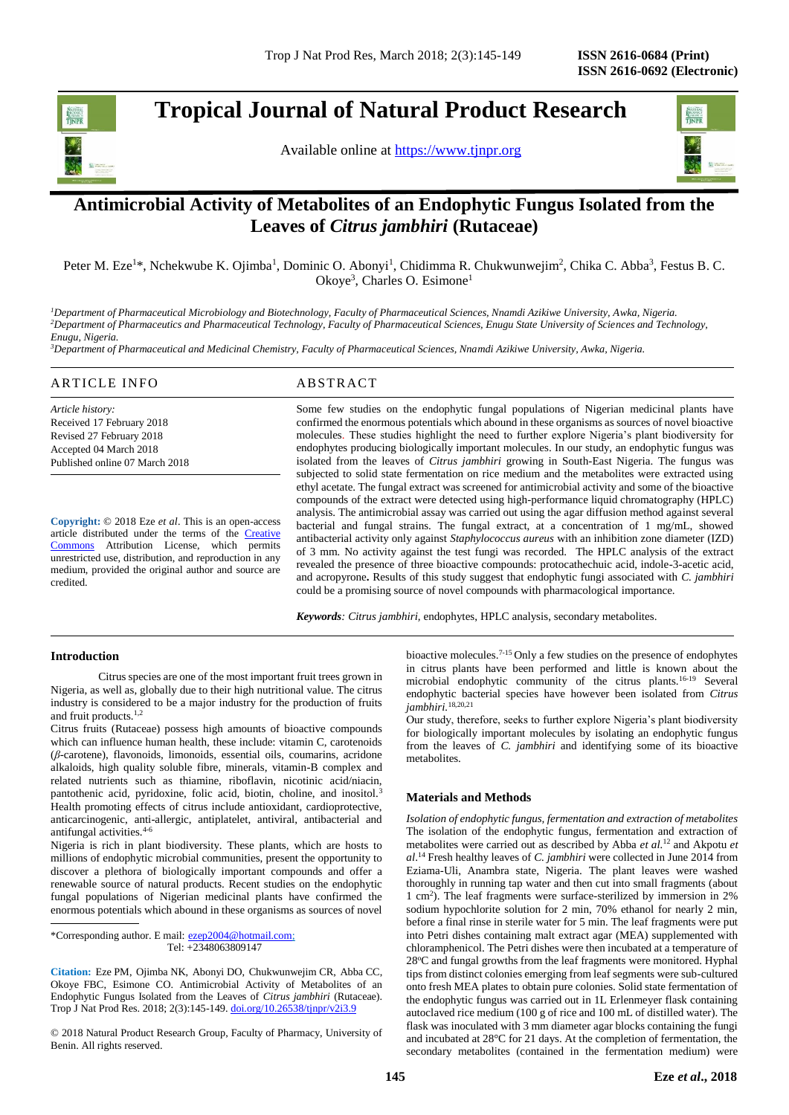

**Tropical Journal of Natural Product Research** 

Available online at [https://www.tjnpr.org](https://www.tjnpr.org/)



# **Antimicrobial Activity of Metabolites of an Endophytic Fungus Isolated from the Leaves of** *Citrus jambhiri* **(Rutaceae)**

Peter M. Eze<sup>1\*</sup>, Nchekwube K. Ojimba<sup>1</sup>, Dominic O. Abonyi<sup>1</sup>, Chidimma R. Chukwunwejim<sup>2</sup>, Chika C. Abba<sup>3</sup>, Festus B. C. Okoye<sup>3</sup>, Charles O. Esimone<sup>1</sup>

*<sup>1</sup>Department of Pharmaceutical Microbiology and Biotechnology, Faculty of Pharmaceutical Sciences, Nnamdi Azikiwe University, Awka, Nigeria. <sup>2</sup>Department of Pharmaceutics and Pharmaceutical Technology, Faculty of Pharmaceutical Sciences, Enugu State University of Sciences and Technology, Enugu, Nigeria.*

*<sup>3</sup>Department of Pharmaceutical and Medicinal Chemistry, Faculty of Pharmaceutical Sciences, Nnamdi Azikiwe University, Awka, Nigeria.*

# ARTICLE INFO ABSTRACT

*Article history:* Received 17 February 2018 Revised 27 February 2018 Accepted 04 March 2018 Published online 07 March 2018

**Copyright:** © 2018 Eze *et al*. This is an open-access article distributed under the terms of the [Creative](https://creativecommons.org/licenses/by/4.0/)  [Commons](https://creativecommons.org/licenses/by/4.0/) Attribution License, which permits unrestricted use, distribution, and reproduction in any medium, provided the original author and source are credited.

Some few studies on the endophytic fungal populations of Nigerian medicinal plants have confirmed the enormous potentials which abound in these organisms as sources of novel bioactive molecules. These studies highlight the need to further explore Nigeria's plant biodiversity for endophytes producing biologically important molecules. In our study, an endophytic fungus was isolated from the leaves of *Citrus jambhiri* growing in South-East Nigeria. The fungus was subjected to solid state fermentation on rice medium and the metabolites were extracted using ethyl acetate. The fungal extract was screened for antimicrobial activity and some of the bioactive compounds of the extract were detected using high-performance liquid chromatography (HPLC) analysis. The antimicrobial assay was carried out using the agar diffusion method against several bacterial and fungal strains. The fungal extract, at a concentration of 1 mg/mL, showed antibacterial activity only against *Staphylococcus aureus* with an inhibition zone diameter (IZD) of 3 mm*.* No activity against the test fungi was recorded. The HPLC analysis of the extract revealed the presence of three bioactive compounds: protocathechuic acid, indole-3-acetic acid, and acropyrone**.** Results of this study suggest that endophytic fungi associated with *C. jambhiri*  could be a promising source of novel compounds with pharmacological importance.

*Keywords: Citrus jambhiri,* endophytes, HPLC analysis, secondary metabolites.

# **Introduction**

Citrus species are one of the most important fruit trees grown in Nigeria, as well as, globally due to their high nutritional value. The citrus industry is considered to be a major industry for the production of fruits and fruit products.1,2

Citrus fruits (Rutaceae) possess high amounts of bioactive compounds which can influence human health, these include: vitamin C, carotenoids (*β*-carotene), flavonoids, limonoids, essential oils, coumarins, acridone alkaloids, high quality soluble fibre, minerals, vitamin-B complex and related nutrients such as thiamine, riboflavin, nicotinic acid/niacin, pantothenic acid, pyridoxine, folic acid, biotin, choline, and inositol.<sup>3</sup> Health promoting effects of citrus include antioxidant, cardioprotective, anticarcinogenic, anti-allergic, antiplatelet, antiviral, antibacterial and antifungal activities.4-6

Nigeria is rich in plant biodiversity. These plants, which are hosts to millions of endophytic microbial communities, present the opportunity to discover a plethora of biologically important compounds and offer a renewable source of natural products. Recent studies on the endophytic fungal populations of Nigerian medicinal plants have confirmed the enormous potentials which abound in these organisms as sources of novel

\*Corresponding author. E mail: [ezep2004@hotmail.com;](mailto:ezep2004@hotmail.com) Tel: +2348063809147

**Citation:** Eze PM, Ojimba NK, Abonyi DO, Chukwunwejim CR, Abba CC, Okoye FBC, Esimone CO. Antimicrobial Activity of Metabolites of an Endophytic Fungus Isolated from the Leaves of *Citrus jambhiri* (Rutaceae). Trop J Nat Prod Res. 2018; 2(3):145-149. [doi.org/10.26538/tjnpr/v2i3.9](http://www.doi.org/10.26538/tjnpr/v1i4.5)

© 2018 Natural Product Research Group, Faculty of Pharmacy, University of Benin. All rights reserved.

bioactive molecules.7-15 Only a few studies on the presence of endophytes in citrus plants have been performed and little is known about the microbial endophytic community of the citrus plants.16-19 Several endophytic bacterial species have however been isolated from *Citrus jambhiri.*18,20,21

Our study, therefore, seeks to further explore Nigeria's plant biodiversity for biologically important molecules by isolating an endophytic fungus from the leaves of *C. jambhiri* and identifying some of its bioactive metabolites.

# **Materials and Methods**

*Isolation of endophytic fungus, fermentation and extraction of metabolites* The isolation of the endophytic fungus, fermentation and extraction of metabolites were carried out as described by Abba *et al.*<sup>12</sup> and Akpotu *et al*. <sup>14</sup> Fresh healthy leaves of *C. jambhiri* were collected in June 2014 from Eziama-Uli, Anambra state, Nigeria. The plant leaves were washed thoroughly in running tap water and then cut into small fragments (about 1 cm<sup>2</sup> ). The leaf fragments were surface-sterilized by immersion in 2% sodium hypochlorite solution for 2 min, 70% ethanol for nearly 2 min, before a final rinse in sterile water for 5 min. The leaf fragments were put into Petri dishes containing malt extract agar (MEA) supplemented with chloramphenicol. The Petri dishes were then incubated at a temperature of 28°C and fungal growths from the leaf fragments were monitored. Hyphal tips from distinct colonies emerging from leaf segments were sub-cultured onto fresh MEA plates to obtain pure colonies. Solid state fermentation of the endophytic fungus was carried out in 1L Erlenmeyer flask containing autoclaved rice medium (100 g of rice and 100 mL of distilled water). The flask was inoculated with 3 mm diameter agar blocks containing the fungi and incubated at 28°C for 21 days. At the completion of fermentation, the secondary metabolites (contained in the fermentation medium) were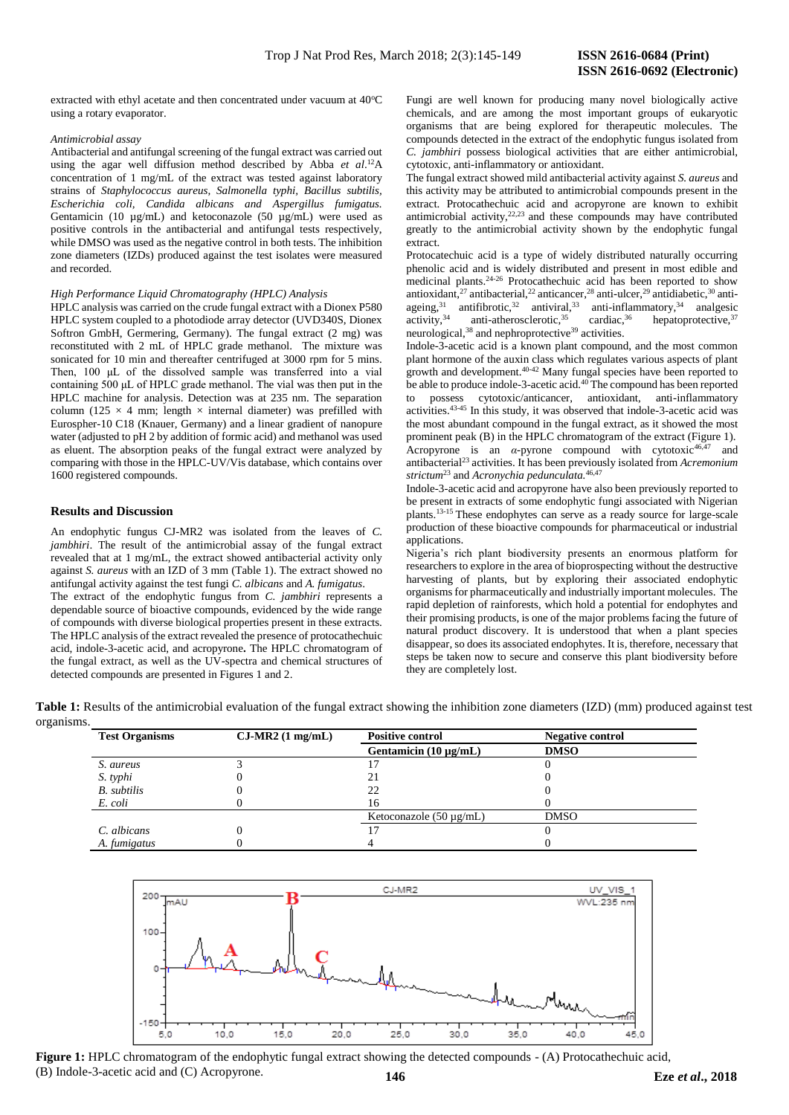extracted with ethyl acetate and then concentrated under vacuum at  $40^{\circ}$ C using a rotary evaporator.

#### *Antimicrobial assay*

Antibacterial and antifungal screening of the fungal extract was carried out using the agar well diffusion method described by Abba *et al*. <sup>12</sup>A concentration of 1 mg/mL of the extract was tested against laboratory strains of *Staphylococcus aureus, Salmonella typhi, Bacillus subtilis, Escherichia coli, Candida albicans and Aspergillus fumigatus.*  Gentamicin (10 µg/mL) and ketoconazole (50 µg/mL) were used as positive controls in the antibacterial and antifungal tests respectively, while DMSO was used as the negative control in both tests. The inhibition zone diameters (IZDs) produced against the test isolates were measured and recorded.

#### *High Performance Liquid Chromatography (HPLC) Analysis*

HPLC analysis was carried on the crude fungal extract with a Dionex P580 HPLC system coupled to a photodiode array detector (UVD340S, Dionex Softron GmbH, Germering, Germany). The fungal extract (2 mg) was reconstituted with 2 mL of HPLC grade methanol. The mixture was sonicated for 10 min and thereafter centrifuged at 3000 rpm for 5 mins. Then, 100 μL of the dissolved sample was transferred into a vial containing 500 μL of HPLC grade methanol. The vial was then put in the HPLC machine for analysis. Detection was at 235 nm. The separation column (125  $\times$  4 mm; length  $\times$  internal diameter) was prefilled with Eurospher-10 C18 (Knauer, Germany) and a linear gradient of nanopure water (adjusted to pH 2 by addition of formic acid) and methanol was used as eluent. The absorption peaks of the fungal extract were analyzed by comparing with those in the HPLC-UV/Vis database, which contains over 1600 registered compounds.

#### **Results and Discussion**

An endophytic fungus CJ-MR2 was isolated from the leaves of *C. jambhiri*. The result of the antimicrobial assay of the fungal extract revealed that at 1 mg/mL, the extract showed antibacterial activity only against *S. aureus* with an IZD of 3 mm (Table 1). The extract showed no antifungal activity against the test fungi *C. albicans* and *A. fumigatus*.

The extract of the endophytic fungus from *C. jambhiri* represents a dependable source of bioactive compounds, evidenced by the wide range of compounds with diverse biological properties present in these extracts. The HPLC analysis of the extract revealed the presence of protocathechuic acid, indole-3-acetic acid, and acropyrone**.** The HPLC chromatogram of the fungal extract, as well as the UV-spectra and chemical structures of detected compounds are presented in Figures 1 and 2.

Fungi are well known for producing many novel biologically active chemicals, and are among the most important groups of eukaryotic organisms that are being explored for therapeutic molecules. The compounds detected in the extract of the endophytic fungus isolated from *C. jambhiri* possess biological activities that are either antimicrobial, cytotoxic, anti-inflammatory or antioxidant.

The fungal extract showed mild antibacterial activity against *S. aureus* and this activity may be attributed to antimicrobial compounds present in the extract. Protocathechuic acid and acropyrone are known to exhibit antimicrobial activity, $22,23$  and these compounds may have contributed greatly to the antimicrobial activity shown by the endophytic fungal extract.

Protocatechuic acid is a type of widely distributed naturally occurring phenolic acid and is widely distributed and present in most edible and medicinal plants.<sup>24-26</sup> Protocathechuic acid has been reported to show antioxidant,<sup>27</sup> antibacterial,<sup>22</sup> anticancer,<sup>28</sup> anti-ulcer,<sup>29</sup> antidiabetic,<sup>30</sup> antiageing,<sup>31</sup> antifibrotic,<sup>32</sup> antiviral,<sup>33</sup> anti-inflammatory,<sup>34</sup> analgesic activity,<sup>34</sup> anti-atherosclerotic,<sup>35</sup> cardiac,<sup>36</sup> hepatoprotective,<sup>37</sup> neurological,<sup>38</sup> and nephroprotective<sup>39</sup> activities.

Indole-3-acetic acid is a known plant compound, and the most common plant hormone of the auxin class which regulates various aspects of plant growth and development.40-42 Many fungal species have been reported to be able to produce indole-3-acetic acid.<sup>40</sup> The compound has been reported to possess cytotoxic/anticancer, antioxidant, anti-inflammatory activities.43-45 In this study, it was observed that indole-3-acetic acid was the most abundant compound in the fungal extract, as it showed the most prominent peak (B) in the HPLC chromatogram of the extract (Figure 1). Acropyrone is an  $\alpha$ -pyrone compound with cytotoxic<sup>46,47</sup> and antibacterial<sup>23</sup> activities. It has been previously isolated from *Acremonium strictum*<sup>23</sup> and *Acronychia pedunculata.*46,47

Indole-3-acetic acid and acropyrone have also been previously reported to be present in extracts of some endophytic fungi associated with Nigerian plants.13-15 These endophytes can serve as a ready source for large-scale production of these bioactive compounds for pharmaceutical or industrial applications.

Nigeria's rich plant biodiversity presents an enormous platform for researchers to explore in the area of bioprospecting without the destructive harvesting of plants, but by exploring their associated endophytic organisms for pharmaceutically and industrially important molecules. The rapid depletion of rainforests, which hold a potential for endophytes and their promising products, is one of the major problems facing the future of natural product discovery. It is understood that when a plant species disappear, so does its associated endophytes. It is, therefore, necessary that steps be taken now to secure and conserve this plant biodiversity before they are completely lost.

**Table 1:** Results of the antimicrobial evaluation of the fungal extract showing the inhibition zone diameters (IZD) (mm) produced against test

| <b>Test Organisms</b> | $CJ-MR2$ (1 mg/mL) | <b>Positive control</b>      | <b>Negative control</b> |
|-----------------------|--------------------|------------------------------|-------------------------|
|                       |                    | Gentamicin $(10 \mu g/mL)$   | <b>DMSO</b>             |
| S. aureus             |                    |                              |                         |
| S. typhi              |                    | 21                           |                         |
| <b>B.</b> subtilis    |                    | 22                           |                         |
| E. coli               |                    | 16                           |                         |
|                       |                    | Ketoconazole $(50 \mu g/mL)$ | <b>DMSO</b>             |
| C. albicans           |                    |                              |                         |
| A. fumigatus          |                    |                              |                         |



 **146 Eze** *et al***., 2018** (B) Indole-3-acetic acid and (C) Acropyrone.**Figure 1:** HPLC chromatogram of the endophytic fungal extract showing the detected compounds - (A) Protocathechuic acid,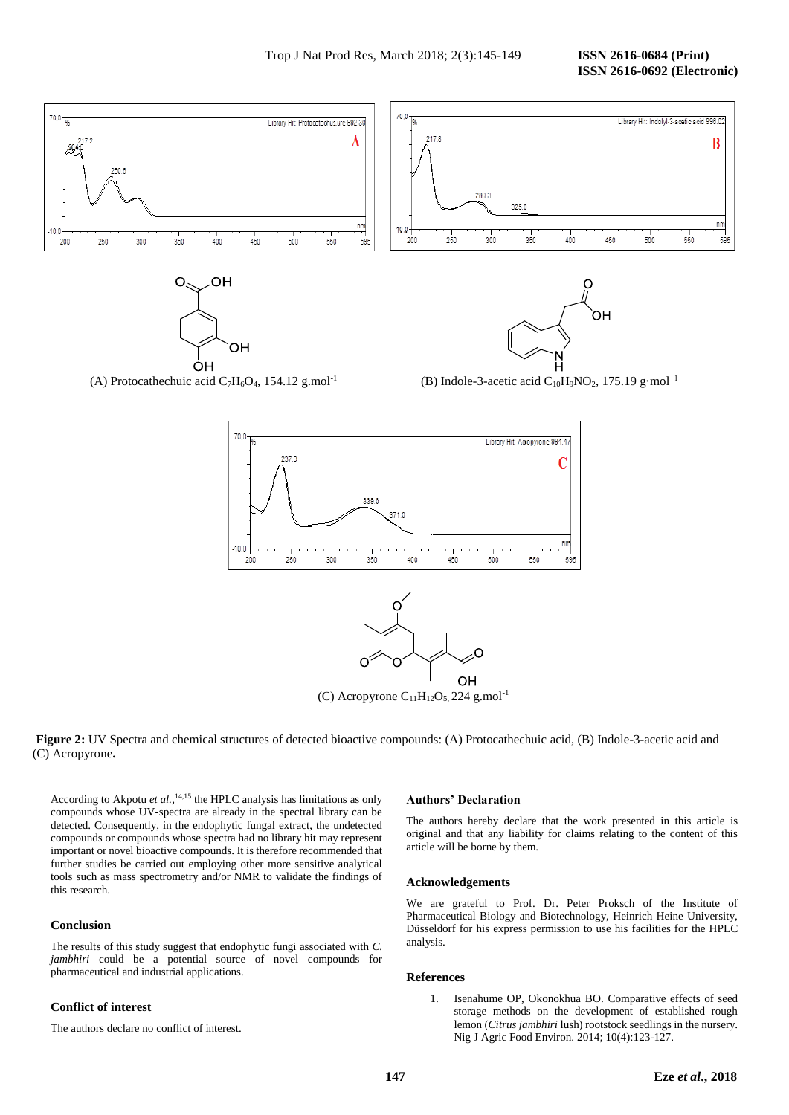

(A) Protocathechuic acid C<sub>7</sub>H<sub>6</sub>O<sub>4</sub>, 154.12 g.mol<sup>-1</sup> (B) Indole-3-acetic acid C<sub>10</sub>H<sub>9</sub>NO<sub>2</sub>, 175.19 g·mol<sup>-1</sup>



 **Figure 2:** UV Spectra and chemical structures of detected bioactive compounds: (A) Protocathechuic acid, (B) Indole-3-acetic acid and (C) (C) Acropyrone**.**

According to Akpotu *et al.,*14,15 the HPLC analysis has limitations as only compounds whose UV-spectra are already in the spectral library can be detected. Consequently, in the endophytic fungal extract, the undetected compounds or compounds whose spectra had no library hit may represent important or novel bioactive compounds. It is therefore recommended that further studies be carried out employing other more sensitive analytical tools such as mass spectrometry and/or NMR to validate the findings of this research.

## **Conclusion**

The results of this study suggest that endophytic fungi associated with *C. jambhiri* could be a potential source of novel compounds for pharmaceutical and industrial applications.

# **Conflict of interest**

The authors declare no conflict of interest.

### **Authors' Declaration**

The authors hereby declare that the work presented in this article is original and that any liability for claims relating to the content of this article will be borne by them.

#### **Acknowledgements**

We are grateful to Prof. Dr. Peter Proksch of the Institute of Pharmaceutical Biology and Biotechnology, Heinrich Heine University, Düsseldorf for his express permission to use his facilities for the HPLC analysis.

# **References**

1. Isenahume OP, Okonokhua BO. Comparative effects of seed storage methods on the development of established rough lemon (*Citrus jambhiri* lush) rootstock seedlings in the nursery. Nig J Agric Food Environ. 2014; 10(4):123-127.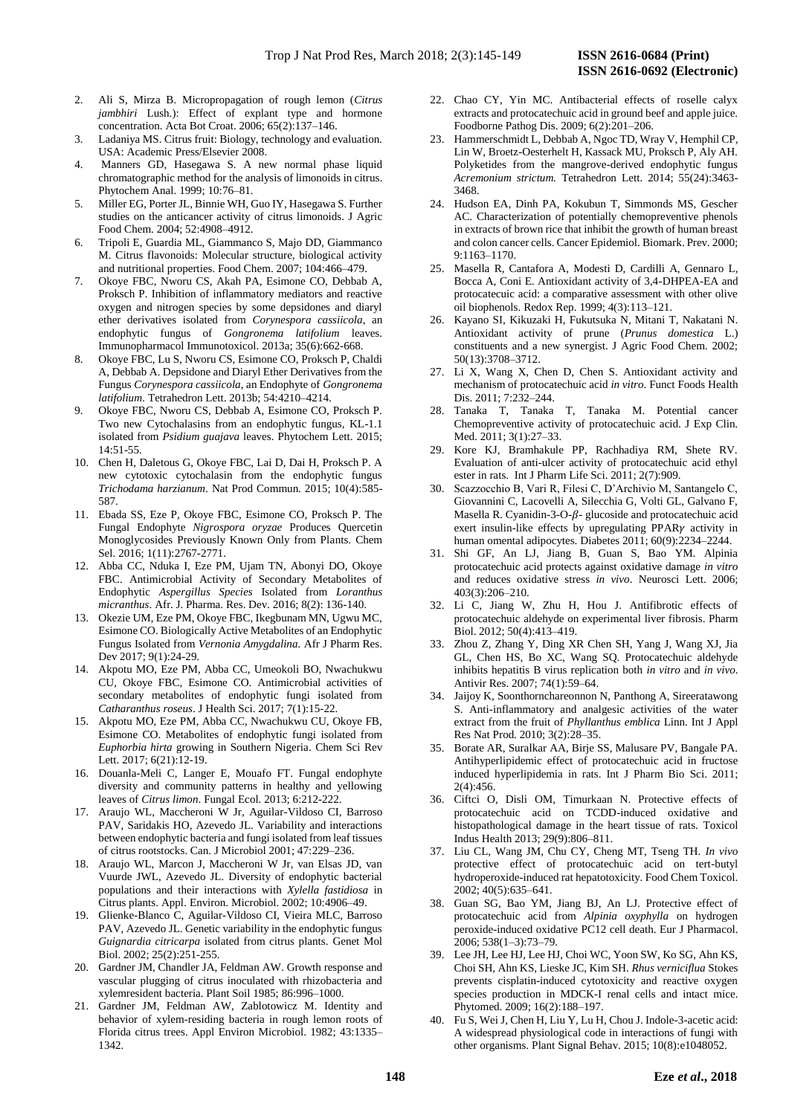- 2. Ali S, Mirza B. Micropropagation of rough lemon (*Citrus jambhiri* Lush.): Effect of explant type and hormone concentration. Acta Bot Croat. 2006; 65(2):137–146.
- 3. Ladaniya MS. Citrus fruit: Biology, technology and evaluation. USA: Academic Press/Elsevier 2008.
- 4. Manners GD, Hasegawa S. A new normal phase liquid chromatographic method for the analysis of limonoids in citrus. Phytochem Anal. 1999; 10:76–81.
- 5. Miller EG, Porter JL, Binnie WH, Guo IY, Hasegawa S. Further studies on the anticancer activity of citrus limonoids. J Agric Food Chem. 2004; 52:4908–4912.
- 6. Tripoli E, Guardia ML, Giammanco S, Majo DD, Giammanco M. Citrus flavonoids: Molecular structure, biological activity and nutritional properties. Food Chem. 2007; 104:466–479.
- 7. Okoye FBC, Nworu CS, Akah PA, Esimone CO, Debbab A, Proksch P. Inhibition of inflammatory mediators and reactive oxygen and nitrogen species by some depsidones and diaryl ether derivatives isolated from *Corynespora cassiicola*, an endophytic fungus of *Gongronema latifolium* leaves. Immunopharmacol Immunotoxicol. 2013a; 35(6):662-668.
- 8. Okoye FBC, Lu S, Nworu CS, Esimone CO, Proksch P, Chaldi A, Debbab A. Depsidone and Diaryl Ether Derivatives from the Fungus *Corynespora cassiicola*, an Endophyte of *Gongronema latifolium*. Tetrahedron Lett. 2013b; 54:4210–4214.
- 9. Okoye FBC, Nworu CS, Debbab A, Esimone CO, Proksch P. Two new Cytochalasins from an endophytic fungus, KL-1.1 isolated from *Psidium guajava* leaves. Phytochem Lett. 2015; 14:51-55.
- 10. Chen H, Daletous G, Okoye FBC, Lai D, Dai H, Proksch P. A new cytotoxic cytochalasin from the endophytic fungus *Trichodama harzianum*. Nat Prod Commun. 2015; 10(4):585- 587.
- 11. Ebada SS, Eze P, Okoye FBC, Esimone CO, Proksch P. The Fungal Endophyte *Nigrospora oryzae* Produces Quercetin Monoglycosides Previously Known Only from Plants. Chem Sel. 2016; 1(11):2767-2771.
- 12. Abba CC, Nduka I, Eze PM, Ujam TN, Abonyi DO, Okoye FBC. Antimicrobial Activity of Secondary Metabolites of Endophytic *Aspergillus Species* Isolated from *Loranthus micranthus*. Afr. J. Pharma. Res. Dev. 2016; 8(2): 136-140.
- 13. Okezie UM, Eze PM, Okoye FBC, Ikegbunam MN, Ugwu MC, Esimone CO. Biologically Active Metabolites of an Endophytic Fungus Isolated from *Vernonia Amygdalina.* Afr J Pharm Res. Dev 2017; 9(1):24-29.
- 14. Akpotu MO, Eze PM, Abba CC, Umeokoli BO, Nwachukwu CU, Okoye FBC, Esimone CO. Antimicrobial activities of secondary metabolites of endophytic fungi isolated from *Catharanthus roseus*. J Health Sci. 2017; 7(1):15-22*.*
- 15. Akpotu MO, Eze PM, Abba CC, Nwachukwu CU, Okoye FB, Esimone CO. Metabolites of endophytic fungi isolated from *Euphorbia hirta* growing in Southern Nigeria. Chem Sci Rev Lett. 2017; 6(21):12-19.
- 16. Douanla-Meli C, Langer E, Mouafo FT. Fungal endophyte diversity and community patterns in healthy and yellowing leaves of *Citrus limon*. Fungal Ecol. 2013; 6:212-222.
- 17. Araujo WL, Maccheroni W Jr, Aguilar-Vildoso CI, Barroso PAV, Saridakis HO, Azevedo JL. Variability and interactions between endophytic bacteria and fungi isolated from leaf tissues of citrus rootstocks. Can. J Microbiol 2001; 47:229–236.
- 18. Araujo WL, Marcon J, Maccheroni W Jr, van Elsas JD, van Vuurde JWL, Azevedo JL. Diversity of endophytic bacterial populations and their interactions with *Xylella fastidiosa* in Citrus plants. Appl. Environ. Microbiol. 2002; 10:4906–49.
- 19. Glienke-Blanco C, Aguilar-Vildoso CI, Vieira MLC, Barroso PAV, Azevedo JL. Genetic variability in the endophytic fungus *Guignardia citricarpa* isolated from citrus plants. Genet Mol Biol. 2002; 25(2):251-255.
- 20. Gardner JM, Chandler JA, Feldman AW. Growth response and vascular plugging of citrus inoculated with rhizobacteria and xylemresident bacteria. Plant Soil 1985; 86:996–1000.
- 21. Gardner JM, Feldman AW, Zablotowicz M. Identity and behavior of xylem-residing bacteria in rough lemon roots of Florida citrus trees. Appl Environ Microbiol. 1982; 43:1335– 1342.
- 22. Chao CY, Yin MC. Antibacterial effects of roselle calyx extracts and protocatechuic acid in ground beef and apple juice. Foodborne Pathog Dis. 2009; 6(2):201–206.
- 23. Hammerschmidt L, Debbab A, Ngoc TD, Wray V, Hemphil CP, Lin W, Broetz-Oesterhelt H, Kassack MU, Proksch P, Aly AH. Polyketides from the mangrove-derived endophytic fungus *Acremonium strictum.* Tetrahedron Lett. 2014; 55(24):3463- 3468.
- 24. Hudson EA, Dinh PA, Kokubun T, Simmonds MS, Gescher AC. Characterization of potentially chemopreventive phenols in extracts of brown rice that inhibit the growth of human breast and colon cancer cells. Cancer Epidemiol. Biomark. Prev. 2000; 9:1163–1170.
- 25. Masella R, Cantafora A, Modesti D, Cardilli A, Gennaro L, Bocca A, Coni E. Antioxidant activity of 3,4-DHPEA-EA and protocatecuic acid: a comparative assessment with other olive oil biophenols. Redox Rep. 1999; 4(3):113–121.
- 26. Kayano SI, Kikuzaki H, Fukutsuka N, Mitani T, Nakatani N. Antioxidant activity of prune (*Prunus domestica* L.) constituents and a new synergist. J Agric Food Chem. 2002; 50(13):3708–3712.
- 27. Li X, Wang X, Chen D, Chen S. Antioxidant activity and mechanism of protocatechuic acid *in vitro*. Funct Foods Health Dis. 2011; 7:232–244.
- 28. Tanaka T, Tanaka T, Tanaka M. Potential cancer Chemopreventive activity of protocatechuic acid. J Exp Clin. Med. 2011; 3(1):27–33.
- 29. Kore KJ, Bramhakule PP, Rachhadiya RM, Shete RV. Evaluation of anti-ulcer activity of protocatechuic acid ethyl ester in rats. Int J Pharm Life Sci. 2011; 2(7):909.
- 30. Scazzocchio B, Vari R, Filesi C, D'Archivio M, Santangelo C, Giovannini C, Lacovelli A, Silecchia G, Volti GL, Galvano F, Masella R. Cyanidin-3-O- $\beta$ - glucoside and protocatechuic acid exert insulin-like effects by upregulating  $PPAR\gamma$  activity in human omental adipocytes. Diabetes 2011; 60(9):2234–2244.
- 31. Shi GF, An LJ, Jiang B, Guan S, Bao YM. Alpinia protocatechuic acid protects against oxidative damage *in vitro* and reduces oxidative stress *in vivo*. Neurosci Lett. 2006; 403(3):206–210.
- 32. Li C, Jiang W, Zhu H, Hou J. Antifibrotic effects of protocatechuic aldehyde on experimental liver fibrosis. Pharm Biol. 2012; 50(4):413–419.
- 33. Zhou Z, Zhang Y, Ding XR Chen SH, Yang J, Wang XJ, Jia GL, Chen HS, Bo XC, Wang SQ. Protocatechuic aldehyde inhibits hepatitis B virus replication both *in vitro* and *in vivo*. Antivir Res. 2007; 74(1):59–64.
- 34. Jaijoy K, Soonthornchareonnon N, Panthong A, Sireeratawong S. Anti-inflammatory and analgesic activities of the water extract from the fruit of *Phyllanthus emblica* Linn. Int J Appl Res Nat Prod. 2010; 3(2):28–35.
- 35. Borate AR, Suralkar AA, Birje SS, Malusare PV, Bangale PA. Antihyperlipidemic effect of protocatechuic acid in fructose induced hyperlipidemia in rats. Int J Pharm Bio Sci. 2011; 2(4):456.
- 36. Ciftci O, Disli OM, Timurkaan N. Protective effects of protocatechuic acid on TCDD-induced oxidative and histopathological damage in the heart tissue of rats. Toxicol Indus Health 2013; 29(9):806–811.
- 37. Liu CL, Wang JM, Chu CY, Cheng MT, Tseng TH. *In vivo* protective effect of protocatechuic acid on tert-butyl hydroperoxide-induced rat hepatotoxicity. Food Chem Toxicol. 2002; 40(5):635–641.
- 38. Guan SG, Bao YM, Jiang BJ, An LJ. Protective effect of protocatechuic acid from *Alpinia oxyphylla* on hydrogen peroxide-induced oxidative PC12 cell death. Eur J Pharmacol. 2006; 538(1–3):73–79.
- 39. Lee JH, Lee HJ, Lee HJ, Choi WC, Yoon SW, Ko SG, Ahn KS, Choi SH, Ahn KS, Lieske JC, Kim SH. *Rhus verniciflua* Stokes prevents cisplatin-induced cytotoxicity and reactive oxygen species production in MDCK-I renal cells and intact mice. Phytomed. 2009; 16(2):188–197.
- 40. Fu S, Wei J, Chen H, Liu Y, Lu H, Chou J. Indole-3-acetic acid: A widespread physiological code in interactions of fungi with other organisms. Plant Signal Behav. 2015; 10(8):e1048052.